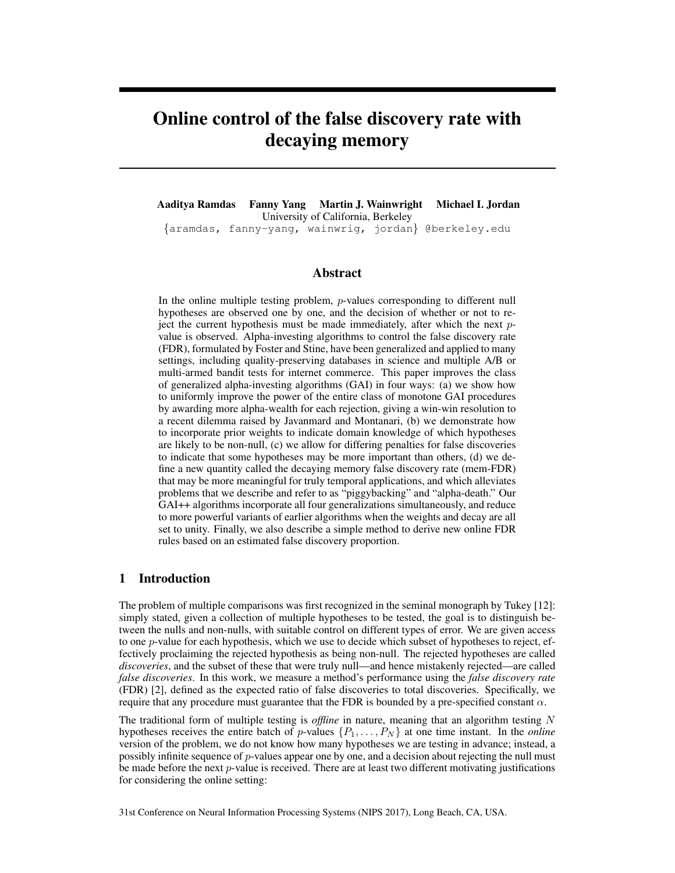# Online control of the false discovery rate with decaying memory

Aaditya Ramdas Fanny Yang Martin J. Wainwright Michael I. Jordan University of California, Berkeley *{*aramdas, fanny-yang, wainwrig, jordan*}* @berkeley.edu

#### Abstract

In the online multiple testing problem, *p*-values corresponding to different null hypotheses are observed one by one, and the decision of whether or not to reject the current hypothesis must be made immediately, after which the next *p*value is observed. Alpha-investing algorithms to control the false discovery rate (FDR), formulated by Foster and Stine, have been generalized and applied to many settings, including quality-preserving databases in science and multiple A/B or multi-armed bandit tests for internet commerce. This paper improves the class of generalized alpha-investing algorithms (GAI) in four ways: (a) we show how to uniformly improve the power of the entire class of monotone GAI procedures by awarding more alpha-wealth for each rejection, giving a win-win resolution to a recent dilemma raised by Javanmard and Montanari, (b) we demonstrate how to incorporate prior weights to indicate domain knowledge of which hypotheses are likely to be non-null, (c) we allow for differing penalties for false discoveries to indicate that some hypotheses may be more important than others, (d) we define a new quantity called the decaying memory false discovery rate (mem-FDR) that may be more meaningful for truly temporal applications, and which alleviates problems that we describe and refer to as "piggybacking" and "alpha-death." Our GAI++ algorithms incorporate all four generalizations simultaneously, and reduce to more powerful variants of earlier algorithms when the weights and decay are all set to unity. Finally, we also describe a simple method to derive new online FDR rules based on an estimated false discovery proportion.

## 1 Introduction

The problem of multiple comparisons was first recognized in the seminal monograph by Tukey [12]: simply stated, given a collection of multiple hypotheses to be tested, the goal is to distinguish between the nulls and non-nulls, with suitable control on different types of error. We are given access to one *p*-value for each hypothesis, which we use to decide which subset of hypotheses to reject, effectively proclaiming the rejected hypothesis as being non-null. The rejected hypotheses are called *discoveries*, and the subset of these that were truly null—and hence mistakenly rejected—are called *false discoveries*. In this work, we measure a method's performance using the *false discovery rate* (FDR) [2], defined as the expected ratio of false discoveries to total discoveries. Specifically, we require that any procedure must guarantee that the FDR is bounded by a pre-specified constant  $\alpha$ .

The traditional form of multiple testing is *offline* in nature, meaning that an algorithm testing *N* hypotheses receives the entire batch of *p*-values  $\{P_1, \ldots, P_N\}$  at one time instant. In the *online* version of the problem, we do not know how many hypotheses we are testing in advance; instead, a possibly infinite sequence of *p*-values appear one by one, and a decision about rejecting the null must be made before the next *p*-value is received. There are at least two different motivating justifications for considering the online setting:

31st Conference on Neural Information Processing Systems (NIPS 2017), Long Beach, CA, USA.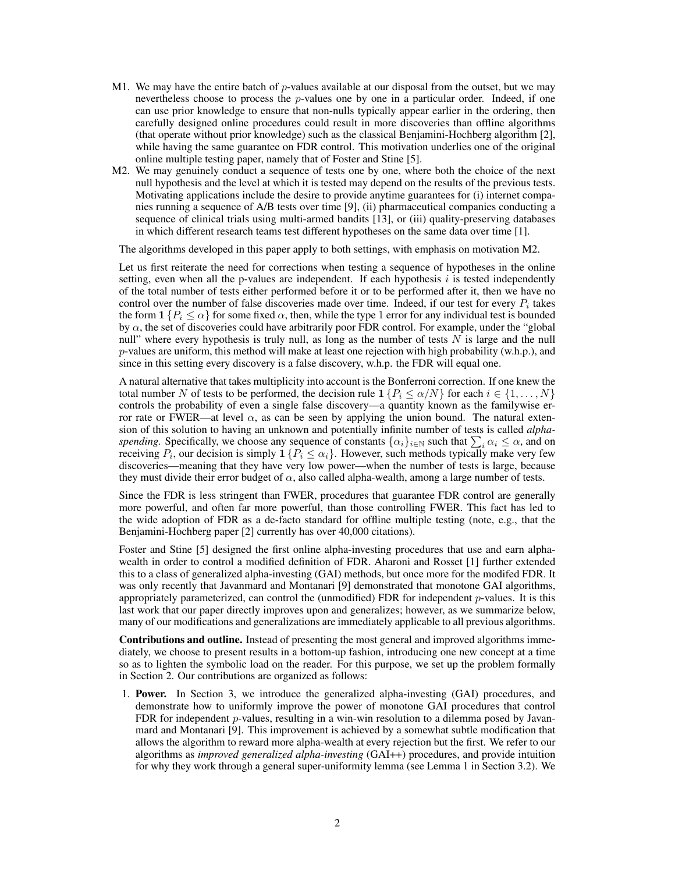- M1. We may have the entire batch of *p*-values available at our disposal from the outset, but we may nevertheless choose to process the *p*-values one by one in a particular order. Indeed, if one can use prior knowledge to ensure that non-nulls typically appear earlier in the ordering, then carefully designed online procedures could result in more discoveries than offline algorithms (that operate without prior knowledge) such as the classical Benjamini-Hochberg algorithm [2], while having the same guarantee on FDR control. This motivation underlies one of the original online multiple testing paper, namely that of Foster and Stine [5].
- M2. We may genuinely conduct a sequence of tests one by one, where both the choice of the next null hypothesis and the level at which it is tested may depend on the results of the previous tests. Motivating applications include the desire to provide anytime guarantees for (i) internet companies running a sequence of A/B tests over time [9], (ii) pharmaceutical companies conducting a sequence of clinical trials using multi-armed bandits [13], or (iii) quality-preserving databases in which different research teams test different hypotheses on the same data over time [1].

The algorithms developed in this paper apply to both settings, with emphasis on motivation M2.

Let us first reiterate the need for corrections when testing a sequence of hypotheses in the online setting, even when all the p-values are independent. If each hypothesis  $i$  is tested independently of the total number of tests either performed before it or to be performed after it, then we have no control over the number of false discoveries made over time. Indeed, if our test for every  $P_i$  takes the form  $1 \{ P_i \leq \alpha \}$  for some fixed  $\alpha$ , then, while the type 1 error for any individual test is bounded by  $\alpha$ , the set of discoveries could have arbitrarily poor FDR control. For example, under the "global" null" where every hypothesis is truly null, as long as the number of tests *N* is large and the null *p*-values are uniform, this method will make at least one rejection with high probability (w.h.p.), and since in this setting every discovery is a false discovery, w.h.p. the FDR will equal one.

A natural alternative that takes multiplicity into account is the Bonferroni correction. If one knew the total number *N* of tests to be performed, the decision rule  $1 \{ P_i \le \alpha/N \}$  for each  $i \in \{1, \ldots, N\}$ controls the probability of even a single false discovery—a quantity known as the familywise error rate or FWER—at level  $\alpha$ , as can be seen by applying the union bound. The natural extension of this solution to having an unknown and potentially infinite number of tests is called *alphaspending.* Specifically, we choose any sequence of constants  $\{\alpha_i\}_{i\in\mathbb{N}}$  such that  $\sum_i \alpha_i \leq \alpha$ , and on receiving  $P_i$ , our decision is simply  $\mathbf{1} \{ P_i \leq \alpha_i \}$ . However, such methods typically make very few discoveries—meaning that they have very low power—when the number of tests is large, because they must divide their error budget of  $\alpha$ , also called alpha-wealth, among a large number of tests.

Since the FDR is less stringent than FWER, procedures that guarantee FDR control are generally more powerful, and often far more powerful, than those controlling FWER. This fact has led to the wide adoption of FDR as a de-facto standard for offline multiple testing (note, e.g., that the Benjamini-Hochberg paper [2] currently has over 40,000 citations).

Foster and Stine [5] designed the first online alpha-investing procedures that use and earn alphawealth in order to control a modified definition of FDR. Aharoni and Rosset [1] further extended this to a class of generalized alpha-investing (GAI) methods, but once more for the modifed FDR. It was only recently that Javanmard and Montanari [9] demonstrated that monotone GAI algorithms, appropriately parameterized, can control the (unmodified) FDR for independent *p*-values. It is this last work that our paper directly improves upon and generalizes; however, as we summarize below, many of our modifications and generalizations are immediately applicable to all previous algorithms.

Contributions and outline. Instead of presenting the most general and improved algorithms immediately, we choose to present results in a bottom-up fashion, introducing one new concept at a time so as to lighten the symbolic load on the reader. For this purpose, we set up the problem formally in Section 2. Our contributions are organized as follows:

1. Power. In Section 3, we introduce the generalized alpha-investing (GAI) procedures, and demonstrate how to uniformly improve the power of monotone GAI procedures that control FDR for independent *p*-values, resulting in a win-win resolution to a dilemma posed by Javanmard and Montanari [9]. This improvement is achieved by a somewhat subtle modification that allows the algorithm to reward more alpha-wealth at every rejection but the first. We refer to our algorithms as *improved generalized alpha-investing* (GAI++) procedures, and provide intuition for why they work through a general super-uniformity lemma (see Lemma 1 in Section 3.2). We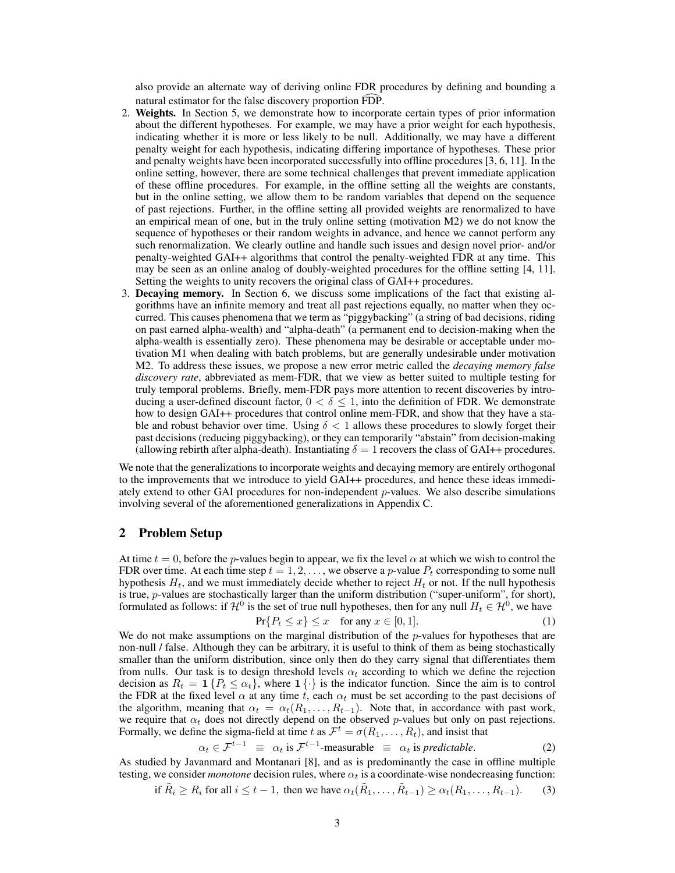also provide an alternate way of deriving online FDR procedures by defining and bounding a natural estimator for the false discovery proportion FDP.

- 2. Weights. In Section 5, we demonstrate how to incorporate certain types of prior information about the different hypotheses. For example, we may have a prior weight for each hypothesis, indicating whether it is more or less likely to be null. Additionally, we may have a different penalty weight for each hypothesis, indicating differing importance of hypotheses. These prior and penalty weights have been incorporated successfully into offline procedures [3, 6, 11]. In the online setting, however, there are some technical challenges that prevent immediate application of these offline procedures. For example, in the offline setting all the weights are constants, but in the online setting, we allow them to be random variables that depend on the sequence of past rejections. Further, in the offline setting all provided weights are renormalized to have an empirical mean of one, but in the truly online setting (motivation M2) we do not know the sequence of hypotheses or their random weights in advance, and hence we cannot perform any such renormalization. We clearly outline and handle such issues and design novel prior- and/or penalty-weighted GAI++ algorithms that control the penalty-weighted FDR at any time. This may be seen as an online analog of doubly-weighted procedures for the offline setting [4, 11]. Setting the weights to unity recovers the original class of GAI++ procedures.
- 3. Decaying memory. In Section 6, we discuss some implications of the fact that existing algorithms have an infinite memory and treat all past rejections equally, no matter when they occurred. This causes phenomena that we term as "piggybacking" (a string of bad decisions, riding on past earned alpha-wealth) and "alpha-death" (a permanent end to decision-making when the alpha-wealth is essentially zero). These phenomena may be desirable or acceptable under motivation M1 when dealing with batch problems, but are generally undesirable under motivation M2. To address these issues, we propose a new error metric called the *decaying memory false discovery rate*, abbreviated as mem-FDR, that we view as better suited to multiple testing for truly temporal problems. Briefly, mem-FDR pays more attention to recent discoveries by introducing a user-defined discount factor,  $0 < \delta \leq 1$ , into the definition of FDR. We demonstrate how to design GAI++ procedures that control online mem-FDR, and show that they have a stable and robust behavior over time. Using  $\delta < 1$  allows these procedures to slowly forget their past decisions (reducing piggybacking), or they can temporarily "abstain" from decision-making (allowing rebirth after alpha-death). Instantiating  $\delta = 1$  recovers the class of GAI++ procedures.

We note that the generalizations to incorporate weights and decaying memory are entirely orthogonal to the improvements that we introduce to yield GAI++ procedures, and hence these ideas immediately extend to other GAI procedures for non-independent *p*-values. We also describe simulations involving several of the aforementioned generalizations in Appendix C.

# 2 Problem Setup

At time  $t = 0$ , before the *p*-values begin to appear, we fix the level  $\alpha$  at which we wish to control the FDR over time. At each time step  $t = 1, 2, \ldots$ , we observe a *p*-value  $P_t$  corresponding to some null hypothesis  $H_t$ , and we must immediately decide whether to reject  $H_t$  or not. If the null hypothesis is true, *p*-values are stochastically larger than the uniform distribution ("super-uniform", for short), formulated as follows: if  $\mathcal{H}^0$  is the set of true null hypotheses, then for any null  $H_t \in \mathcal{H}^0$ , we have

$$
\Pr\{P_t \le x\} \le x \quad \text{for any } x \in [0, 1].\tag{1}
$$

We do not make assumptions on the marginal distribution of the *p*-values for hypotheses that are non-null / false. Although they can be arbitrary, it is useful to think of them as being stochastically smaller than the uniform distribution, since only then do they carry signal that differentiates them from nulls. Our task is to design threshold levels  $\alpha_t$  according to which we define the rejection decision as  $R_t = 1$  { $P_t \leq \alpha_t$ }, where  $1$  { $\cdot$ } is the indicator function. Since the aim is to control the FDR at the fixed level  $\alpha$  at any time *t*, each  $\alpha_t$  must be set according to the past decisions of the algorithm, meaning that  $\alpha_t = \alpha_t(R_1, \ldots, R_{t-1})$ . Note that, in accordance with past work, we require that  $\alpha_t$  does not directly depend on the observed *p*-values but only on past rejections. Formally, we define the sigma-field at time *t* as  $\mathcal{F}^t = \sigma(R_1, \ldots, R_t)$ , and insist that

$$
\alpha_t \in \mathcal{F}^{t-1} \equiv \alpha_t \text{ is } \mathcal{F}^{t-1}\text{-measurable } \equiv \alpha_t \text{ is predictable.}
$$
 (2)

As studied by Javanmard and Montanari [8], and as is predominantly the case in offline multiple testing, we consider *monotone* decision rules, where  $\alpha_t$  is a coordinate-wise nondecreasing function:

if 
$$
\tilde{R}_i \ge R_i
$$
 for all  $i \le t - 1$ , then we have  $\alpha_t(\tilde{R}_1, \dots, \tilde{R}_{t-1}) \ge \alpha_t(R_1, \dots, R_{t-1})$ . (3)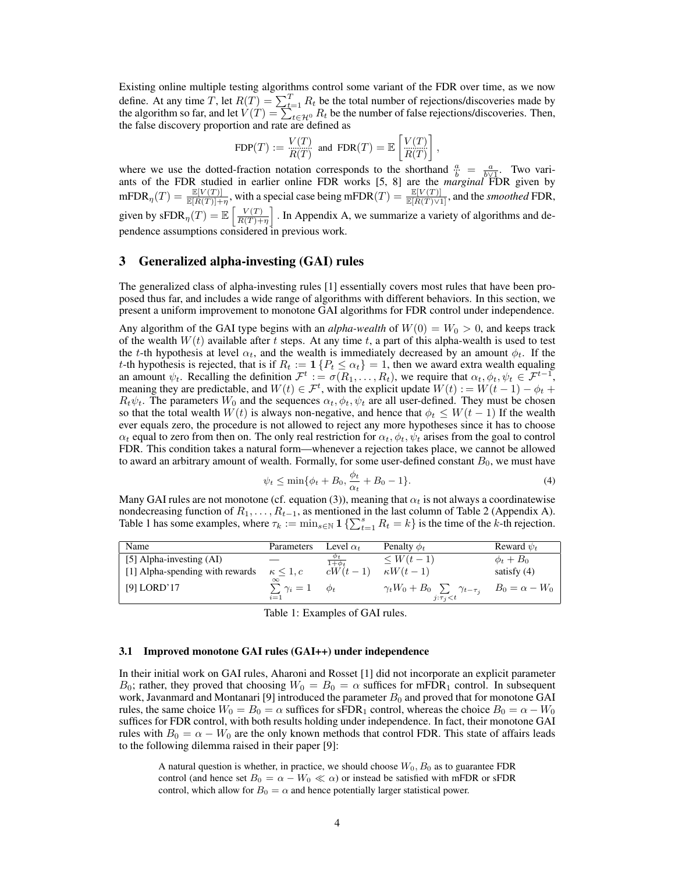Existing online multiple testing algorithms control some variant of the FDR over time, as we now define. At any time *T*, let  $R(T) = \sum_{t=1}^{T} R_t$  be the total number of rejections/discoveries made by the algorithm so far, and let  $V(T) = \sum_{t \in \mathcal{H}^0}^{T-1} R_t$  be the number of false rejections/discoveries. Then, the false discovery proportion and rate are defined as

$$
\operatorname{FDP}(T) := \frac{V(T)}{R(T)} \text{ and } \operatorname{FDR}(T) = \mathbb{E}\left[\frac{V(T)}{R(T)}\right],
$$

where we use the dotted-fraction notation corresponds to the shorthand  $\frac{a}{b} = \frac{a}{b\sqrt{1}}$ . Two variants of the FDR studied in earlier online FDR works [5, 8] are the *marginal* FDR given by  $\text{mFDR}_{\eta}(T) = \frac{\mathbb{E}[V(T)]}{\mathbb{E}[R(T)] + \eta}$ , with a special case being  $\text{mFDR}(T) = \frac{\mathbb{E}[V(T)]}{\mathbb{E}[R(T) \vee 1]}$ , and the *smoothed* FDR, given by  $\text{sFDR}_{\eta}(T) = \mathbb{E}\left[\frac{V(T)}{R(T)+1}\right]$  $R(T)+\eta$ i *.* In Appendix A, we summarize a variety of algorithms and dependence assumptions considered in previous work.

# 3 Generalized alpha-investing (GAI) rules

The generalized class of alpha-investing rules [1] essentially covers most rules that have been proposed thus far, and includes a wide range of algorithms with different behaviors. In this section, we present a uniform improvement to monotone GAI algorithms for FDR control under independence.

Any algorithm of the GAI type begins with an *alpha-wealth* of  $W(0) = W_0 > 0$ , and keeps track of the wealth  $W(t)$  available after *t* steps. At any time *t*, a part of this alpha-wealth is used to test the *t*-th hypothesis at level  $\alpha_t$ , and the wealth is immediately decreased by an amount  $\phi_t$ . If the *t*-th hypothesis is rejected, that is if  $R_t := 1$  { $P_t \leq \alpha_t$ } = 1, then we award extra wealth equaling an amount  $\psi_t$ . Recalling the definition  $\mathcal{F}^t := \sigma(R_1, \ldots, R_t)$ , we require that  $\alpha_t, \phi_t, \psi_t \in \mathcal{F}^{t-1}$ , meaning they are predictable, and  $W(t) \in \mathcal{F}^t$ , with the explicit update  $W(t) := W(t-1) - \phi_t +$  $R_t \psi_t$ . The parameters  $W_0$  and the sequences  $\alpha_t$ ,  $\phi_t$ ,  $\psi_t$  are all user-defined. They must be chosen so that the total wealth  $W(t)$  is always non-negative, and hence that  $\phi_t \leq W(t-1)$  If the wealth ever equals zero, the procedure is not allowed to reject any more hypotheses since it has to choose  $\alpha_t$  equal to zero from then on. The only real restriction for  $\alpha_t$ ,  $\phi_t$ ,  $\psi_t$  arises from the goal to control FDR. This condition takes a natural form—whenever a rejection takes place, we cannot be allowed to award an arbitrary amount of wealth. Formally, for some user-defined constant  $B_0$ , we must have

$$
\psi_t \le \min{\{\phi_t + B_0, \frac{\phi_t}{\alpha_t} + B_0 - 1\}}.
$$
\n(4)

Many GAI rules are not monotone (cf. equation (3)), meaning that  $\alpha_t$  is not always a coordinatewise nondecreasing function of  $R_1, \ldots, R_{t-1}$ , as mentioned in the last column of Table 2 (Appendix A). Table 1 has some examples, where  $\tau_k := \min_{s \in \mathbb{N}} 1 \{ \sum_{t=1}^s R_t = k \}$  is the time of the *k*-th rejection.

| Name                            | Parameters                   | Level $\alpha_t$     | Penalty $\phi_t$                                                                       | Reward $\psi_t$ |
|---------------------------------|------------------------------|----------------------|----------------------------------------------------------------------------------------|-----------------|
| [5] Alpha-investing $(AI)$      |                              | $\varphi_t$          | $\leq W(t-1)$                                                                          | $\phi_t + B_0$  |
| [1] Alpha-spending with rewards | $\kappa \leq 1, c$           | $\overline{cW(t-1)}$ | $\kappa W(t-1)$                                                                        | satisfy $(4)$   |
| [9] LORD'17                     | $\sum \gamma_i = 1$<br>$i=1$ | $\phi_t$             | $\gamma_t W_0 + B_0 \sum_{l} \gamma_{t-\tau_j} B_0 = \alpha - W_0$<br>$j:\tau_i\leq t$ |                 |

Table 1: Examples of GAI rules.

#### 3.1 Improved monotone GAI rules (GAI++) under independence

In their initial work on GAI rules, Aharoni and Rosset [1] did not incorporate an explicit parameter  $B_0$ ; rather, they proved that choosing  $W_0 = B_0 = \alpha$  suffices for mFDR<sub>1</sub> control. In subsequent work, Javanmard and Montanari [9] introduced the parameter  $B_0$  and proved that for monotone GAI rules, the same choice  $W_0 = B_0 = \alpha$  suffices for sFDR<sub>1</sub> control, whereas the choice  $B_0 = \alpha - W_0$ suffices for FDR control, with both results holding under independence. In fact, their monotone GAI rules with  $B_0 = \alpha - W_0$  are the only known methods that control FDR. This state of affairs leads to the following dilemma raised in their paper [9]:

A natural question is whether, in practice, we should choose *W*0*, B*<sup>0</sup> as to guarantee FDR control (and hence set  $B_0 = \alpha - W_0 \ll \alpha$ ) or instead be satisfied with mFDR or sFDR control, which allow for  $B_0 = \alpha$  and hence potentially larger statistical power.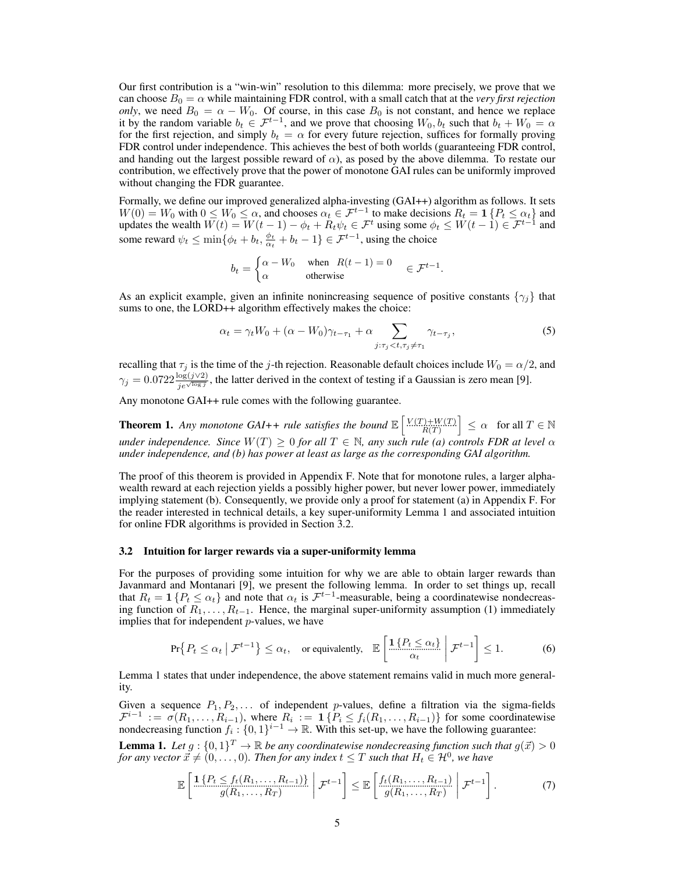Our first contribution is a "win-win" resolution to this dilemma: more precisely, we prove that we can choose  $B_0 = \alpha$  while maintaining FDR control, with a small catch that at the *very first rejection only*, we need  $B_0 = \alpha - W_0$ . Of course, in this case  $B_0$  is not constant, and hence we replace it by the random variable  $b_t \in \mathcal{F}^{t-1}$ , and we prove that choosing  $W_0$ ,  $b_t$  such that  $b_t + W_0 = \alpha$ for the first rejection, and simply  $b_t = \alpha$  for every future rejection, suffices for formally proving FDR control under independence. This achieves the best of both worlds (guaranteeing FDR control, and handing out the largest possible reward of  $\alpha$ ), as posed by the above dilemma. To restate our contribution, we effectively prove that the power of monotone GAI rules can be uniformly improved without changing the FDR guarantee.

Formally, we define our improved generalized alpha-investing (GAI++) algorithm as follows. It sets  $W(0) = W_0$  with  $0 \le W_0 \le \alpha$ , and chooses  $\alpha_t \in \mathcal{F}^{t-1}$  to make decisions  $R_t = \mathbf{1} \{ P_t \le \alpha_t \}$  and updates the wealth  $W(t) = W(t-1) - \phi_t + R_t \psi_t \in \mathcal{F}^t$  using some  $\phi_t \leq W(t-1) \in \mathcal{F}^{t-1}$  and some reward  $\psi_t \le \min\{\phi_t + b_t, \frac{\phi_t}{\alpha_t} + b_t - 1\} \in \mathcal{F}^{t-1}$ , using the choice

$$
b_t = \begin{cases} \alpha - W_0 & \text{when } R(t - 1) = 0 \\ \alpha & \text{otherwise} \end{cases} \in \mathcal{F}^{t-1}.
$$

As an explicit example, given an infinite nonincreasing sequence of positive constants  $\{\gamma_j\}$  that sums to one, the LORD++ algorithm effectively makes the choice:

$$
\alpha_t = \gamma_t W_0 + (\alpha - W_0)\gamma_{t-\tau_1} + \alpha \sum_{j:\tau_j < t, \tau_j \neq \tau_1} \gamma_{t-\tau_j},\tag{5}
$$

recalling that  $\tau_j$  is the time of the *j*-th rejection. Reasonable default choices include  $W_0 = \alpha/2$ , and  $\gamma_j = 0.0722 \frac{\log(j\vee 2)}{j e^{\sqrt{\log j}}}$ , the latter derived in the context of testing if a Gaussian is zero mean [9].

Any monotone GAI++ rule comes with the following guarantee.

**Theorem 1.** Any monotone GAI++ rule satisfies the bound  $\mathbb{E}\left[\frac{V(T)+W(T)}{R(T)}\right] \leq \alpha$  for all  $T \in \mathbb{N}$ *under independence. Since*  $W(T) \geq 0$  *for all*  $T \in \mathbb{N}$ *, any such rule (a) controls FDR at level*  $\alpha$ *under independence, and (b) has power at least as large as the corresponding GAI algorithm.*

The proof of this theorem is provided in Appendix F. Note that for monotone rules, a larger alphawealth reward at each rejection yields a possibly higher power, but never lower power, immediately implying statement (b). Consequently, we provide only a proof for statement (a) in Appendix F. For the reader interested in technical details, a key super-uniformity Lemma 1 and associated intuition for online FDR algorithms is provided in Section 3.2.

#### 3.2 Intuition for larger rewards via a super-uniformity lemma

For the purposes of providing some intuition for why we are able to obtain larger rewards than Javanmard and Montanari [9], we present the following lemma. In order to set things up, recall that  $R_t = 1$  { $P_t \leq \alpha_t$ } and note that  $\alpha_t$  is  $\mathcal{F}^{t-1}$ -measurable, being a coordinatewise nondecreasing function of  $\overline{R_1}, \ldots, R_{t-1}$ . Hence, the marginal super-uniformity assumption (1) immediately implies that for independent *p*-values, we have

$$
\Pr\{P_t \le \alpha_t \mid \mathcal{F}^{t-1}\} \le \alpha_t, \quad \text{or equivalently,} \quad \mathbb{E}\left[\frac{\mathbb{1}\{P_t \le \alpha_t\}}{\alpha_t} \middle| \mathcal{F}^{t-1}\right] \le 1. \tag{6}
$$

Lemma 1 states that under independence, the above statement remains valid in much more generality.

Given a sequence  $P_1, P_2, \ldots$  of independent *p*-values, define a filtration via the sigma-fields  $\mathcal{F}^{i-1} := \sigma(R_1, \ldots, R_{i-1}),$  where  $R_i := \mathbf{1} \{ P_i \le f_i(R_1, \ldots, R_{i-1}) \}$  for some coordinatewise nondecreasing function  $f_i: \{0,1\}^{i-1} \to \mathbb{R}$ . With this set-up, we have the following guarantee:

**Lemma 1.** Let  $g : \{0,1\}^T \to \mathbb{R}$  be any coordinatewise nondecreasing function such that  $g(\vec{x}) > 0$ *for any vector*  $\vec{x} \neq (0, \ldots, 0)$ *. Then for any index*  $t \leq T$  *such that*  $H_t \in \mathcal{H}^0$ *, we have* 

$$
\mathbb{E}\left[\frac{1\left\{P_t \leq f_t(R_1,\ldots,R_{t-1})\right\}}{g(R_1,\ldots,R_T)}\,\bigg|\,\mathcal{F}^{t-1}\right] \leq \mathbb{E}\left[\frac{f_t(R_1,\ldots,R_{t-1})}{g(R_1,\ldots,R_T)}\,\bigg|\,\mathcal{F}^{t-1}\right].\tag{7}
$$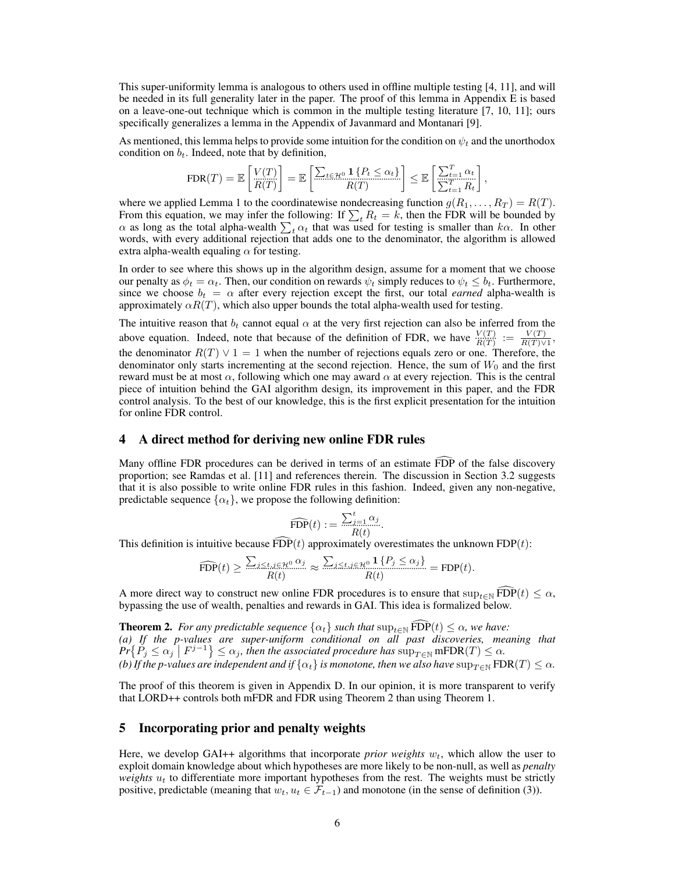This super-uniformity lemma is analogous to others used in offline multiple testing [4, 11], and will be needed in its full generality later in the paper. The proof of this lemma in Appendix E is based on a leave-one-out technique which is common in the multiple testing literature [7, 10, 11]; ours specifically generalizes a lemma in the Appendix of Javanmard and Montanari [9].

As mentioned, this lemma helps to provide some intuition for the condition on  $\psi_t$  and the unorthodox condition on  $b_t$ . Indeed, note that by definition,

$$
\text{FDR}(T) = \mathbb{E}\left[\frac{V(T)}{R(T)}\right] = \mathbb{E}\left[\frac{\sum_{t \in \mathcal{H}^0} \mathbf{1}\left\{P_t \leq \alpha_t\right\}}{R(T)}\right] \leq \mathbb{E}\left[\frac{\sum_{t=1}^T \alpha_t}{\sum_{t=1}^T R_t}\right],
$$

where we applied Lemma 1 to the coordinatewise nondecreasing function  $g(R_1, \ldots, R_T) = R(T)$ . From this equation, we may infer the following: If  $\sum_{t} R_t = k$ , then the FDR will be bounded by  $\alpha$  as long as the total alpha-wealth  $\sum_{t} \alpha_t$  that was used for testing is smaller than  $k\alpha$ . In other words, with every additional rejection that adds one to the denominator, the algorithm is allowed extra alpha-wealth equaling  $\alpha$  for testing.

In order to see where this shows up in the algorithm design, assume for a moment that we choose our penalty as  $\phi_t = \alpha_t$ . Then, our condition on rewards  $\psi_t$  simply reduces to  $\psi_t \leq b_t$ . Furthermore, since we choose  $b_t = \alpha$  after every rejection except the first, our total *earned* alpha-wealth is approximately  $\alpha R(T)$ , which also upper bounds the total alpha-wealth used for testing.

The intuitive reason that  $b_t$  cannot equal  $\alpha$  at the very first rejection can also be inferred from the above equation. Indeed, note that because of the definition of FDR, we have  $\frac{V(T)}{R(T)} := \frac{V(T)}{R(T)\vee 1}$ , the denominator  $R(T) \vee 1 = 1$  when the number of rejections equals zero or one. Therefore, the denominator only starts incrementing at the second rejection. Hence, the sum of  $W_0$  and the first reward must be at most  $\alpha$ , following which one may award  $\alpha$  at every rejection. This is the central piece of intuition behind the GAI algorithm design, its improvement in this paper, and the FDR control analysis. To the best of our knowledge, this is the first explicit presentation for the intuition for online FDR control.

## 4 A direct method for deriving new online FDR rules

Many offline FDR procedures can be derived in terms of an estimate FDP of the false discovery proportion; see Ramdas et al. [11] and references therein. The discussion in Section 3.2 suggests that it is also possible to write online FDR rules in this fashion. Indeed, given any non-negative, predictable sequence  $\{\alpha_t\}$ , we propose the following definition:

$$
\widehat{\text{FDP}}(t) := \frac{\sum_{j=1}^{t} \alpha_j}{R(t)}.
$$

This definition is intuitive because  $\widehat{FDP}(t)$  approximately overestimates the unknown  $FDP(t)$ :

$$
\widehat{\text{FDP}}(t) \ge \frac{\sum_{j \le t, j \in \mathcal{H}^0} \alpha_j}{R(t)} \approx \frac{\sum_{j \le t, j \in \mathcal{H}^0} 1\{P_j \le \alpha_j\}}{R(t)} = \text{FDP}(t).
$$

A more direct way to construct new online FDR procedures is to ensure that  $\sup_{t\in\mathbb{N}} fDP(t) \leq \alpha$ , bypassing the use of wealth, penalties and rewards in GAI. This idea is formalized below.

**Theorem 2.** *For any predictable sequence*  $\{\alpha_t\}$  *such that*  $\sup_{t \in \mathbb{N}} fDP(t) \leq \alpha$ *, we have: (a) If the p-values are super-uniform conditional on all past discoveries, meaning that*  $Pr\{P_j \leq \alpha_j \mid F^{j-1}\} \leq \alpha_j$ , then the associated procedure has  $sup_{T \in \mathbb{N}} mFDR(T) \leq \alpha_j$ . *(b)* If the p-values are independent and if  $\{\alpha_t\}$  is monotone, then we also have  $\sup_{T\in\mathbb{N}}$  FDR(*T*)  $\leq \alpha$ *.* 

The proof of this theorem is given in Appendix D. In our opinion, it is more transparent to verify that LORD++ controls both mFDR and FDR using Theorem 2 than using Theorem 1.

## 5 Incorporating prior and penalty weights

Here, we develop GAI++ algorithms that incorporate *prior weights*  $w_t$ , which allow the user to exploit domain knowledge about which hypotheses are more likely to be non-null, as well as *penalty weights u<sup>t</sup>* to differentiate more important hypotheses from the rest. The weights must be strictly positive, predictable (meaning that  $w_t, u_t \in \mathcal{F}_{t-1}$ ) and monotone (in the sense of definition (3)).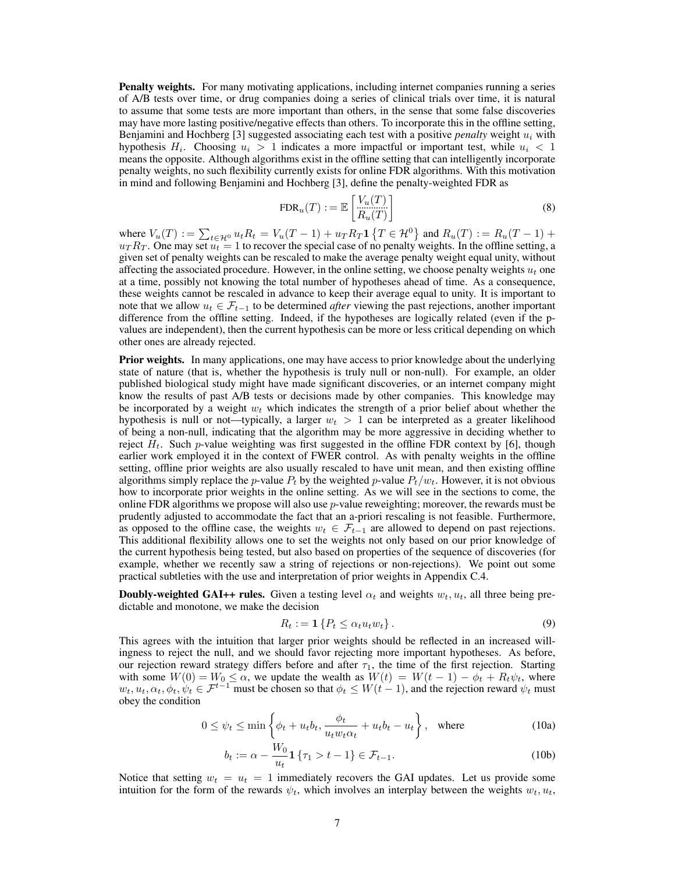**Penalty weights.** For many motivating applications, including internet companies running a series of A/B tests over time, or drug companies doing a series of clinical trials over time, it is natural to assume that some tests are more important than others, in the sense that some false discoveries may have more lasting positive/negative effects than others. To incorporate this in the offline setting, Benjamini and Hochberg [3] suggested associating each test with a positive *penalty* weight *u<sup>i</sup>* with hypothesis  $H_i$ . Choosing  $u_i > 1$  indicates a more impactful or important test, while  $u_i < 1$ means the opposite. Although algorithms exist in the offline setting that can intelligently incorporate penalty weights, no such flexibility currently exists for online FDR algorithms. With this motivation in mind and following Benjamini and Hochberg [3], define the penalty-weighted FDR as

$$
\text{FDR}_u(T) := \mathbb{E}\left[\frac{V_u(T)}{R_u(T)}\right] \tag{8}
$$

where  $V_u(T) := \sum_{t \in \mathcal{H}^0} u_t R_t = V_u(T-1) + u_T R_T \mathbf{1} \{ T \in \mathcal{H}^0 \}$  and  $R_u(T) := R_u(T-1) + R_u(T)$  $u_T R_T$ . One may set  $u_t = 1$  to recover the special case of no penalty weights. In the offline setting, a given set of penalty weights can be rescaled to make the average penalty weight equal unity, without affecting the associated procedure. However, in the online setting, we choose penalty weights  $u_t$  one at a time, possibly not knowing the total number of hypotheses ahead of time. As a consequence, these weights cannot be rescaled in advance to keep their average equal to unity. It is important to note that we allow  $u_t \in \mathcal{F}_{t-1}$  to be determined *after* viewing the past rejections, another important difference from the offline setting. Indeed, if the hypotheses are logically related (even if the pvalues are independent), then the current hypothesis can be more or less critical depending on which other ones are already rejected.

**Prior weights.** In many applications, one may have access to prior knowledge about the underlying state of nature (that is, whether the hypothesis is truly null or non-null). For example, an older published biological study might have made significant discoveries, or an internet company might know the results of past A/B tests or decisions made by other companies. This knowledge may be incorporated by a weight  $w_t$  which indicates the strength of a prior belief about whether the hypothesis is null or not—typically, a larger  $w_t > 1$  can be interpreted as a greater likelihood of being a non-null, indicating that the algorithm may be more aggressive in deciding whether to reject  $H_t$ . Such *p*-value weighting was first suggested in the offline FDR context by [6], though earlier work employed it in the context of FWER control. As with penalty weights in the offline setting, offline prior weights are also usually rescaled to have unit mean, and then existing offline algorithms simply replace the *p*-value  $P_t$  by the weighted *p*-value  $P_t/w_t$ . However, it is not obvious how to incorporate prior weights in the online setting. As we will see in the sections to come, the online FDR algorithms we propose will also use *p*-value reweighting; moreover, the rewards must be prudently adjusted to accommodate the fact that an a-priori rescaling is not feasible. Furthermore, as opposed to the offline case, the weights  $w_t \in \mathcal{F}_{t-1}$  are allowed to depend on past rejections. This additional flexibility allows one to set the weights not only based on our prior knowledge of the current hypothesis being tested, but also based on properties of the sequence of discoveries (for example, whether we recently saw a string of rejections or non-rejections). We point out some practical subtleties with the use and interpretation of prior weights in Appendix C.4.

**Doubly-weighted GAI++ rules.** Given a testing level  $\alpha_t$  and weights  $w_t, u_t$ , all three being predictable and monotone, we make the decision

$$
R_t := \mathbf{1} \left\{ P_t \le \alpha_t u_t w_t \right\}.
$$
\n<sup>(9)</sup>

This agrees with the intuition that larger prior weights should be reflected in an increased willingness to reject the null, and we should favor rejecting more important hypotheses. As before, our rejection reward strategy differs before and after  $\tau_1$ , the time of the first rejection. Starting with some  $W(0) = W_0 \le \alpha$ , we update the wealth as  $W(t) = W(t-1) - \phi_t + R_t \psi_t$ , where  $w_t, u_t, \alpha_t, \phi_t, \psi_t \in \mathcal{F}^{t-1}$  must be chosen so that  $\phi_t \leq W(t-1)$ , and the rejection reward  $\psi_t$  must obey the condition

$$
0 \le \psi_t \le \min\left\{\phi_t + u_t b_t, \frac{\phi_t}{u_t w_t \alpha_t} + u_t b_t - u_t\right\}, \quad \text{where} \tag{10a}
$$

$$
b_t := \alpha - \frac{W_0}{u_t} \mathbf{1} \{ \tau_1 > t - 1 \} \in \mathcal{F}_{t-1}.
$$
 (10b)

Notice that setting  $w_t = u_t = 1$  immediately recovers the GAI updates. Let us provide some intuition for the form of the rewards  $\psi_t$ , which involves an interplay between the weights  $w_t$ ,  $u_t$ ,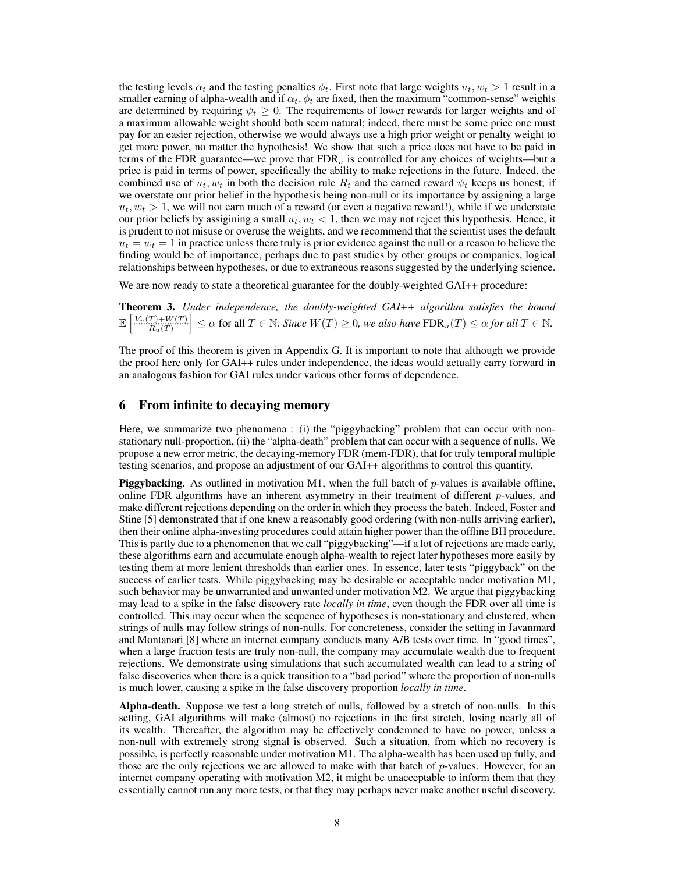the testing levels  $\alpha_t$  and the testing penalties  $\phi_t$ . First note that large weights  $u_t, w_t > 1$  result in a smaller earning of alpha-wealth and if  $\alpha_t$ ,  $\phi_t$  are fixed, then the maximum "common-sense" weights are determined by requiring  $\psi_t \geq 0$ . The requirements of lower rewards for larger weights and of a maximum allowable weight should both seem natural; indeed, there must be some price one must pay for an easier rejection, otherwise we would always use a high prior weight or penalty weight to get more power, no matter the hypothesis! We show that such a price does not have to be paid in terms of the FDR guarantee—we prove that  $FDR<sub>u</sub>$  is controlled for any choices of weights—but a price is paid in terms of power, specifically the ability to make rejections in the future. Indeed, the combined use of  $u_t$ ,  $w_t$  in both the decision rule  $R_t$  and the earned reward  $\psi_t$  keeps us honest; if we overstate our prior belief in the hypothesis being non-null or its importance by assigning a large  $u_t, w_t > 1$ , we will not earn much of a reward (or even a negative reward!), while if we understate our prior beliefs by assigining a small  $u_t$ ,  $w_t$  < 1, then we may not reject this hypothesis. Hence, it is prudent to not misuse or overuse the weights, and we recommend that the scientist uses the default  $u_t = w_t = 1$  in practice unless there truly is prior evidence against the null or a reason to believe the finding would be of importance, perhaps due to past studies by other groups or companies, logical relationships between hypotheses, or due to extraneous reasons suggested by the underlying science.

We are now ready to state a theoretical guarantee for the doubly-weighted GAI++ procedure:

Theorem 3. *Under independence, the doubly-weighted GAI++ algorithm satisfies the bound*  $\mathbb{E}\left[\frac{V_u(T) + W(T)}{R_u(T)}\right] \leq \alpha$  for all  $T \in \mathbb{N}$ . Since  $W(T) \geq 0$ , we also have  $\text{FDR}_u(T) \leq \alpha$  for all  $T \in \mathbb{N}$ .

The proof of this theorem is given in Appendix G. It is important to note that although we provide the proof here only for GAI++ rules under independence, the ideas would actually carry forward in an analogous fashion for GAI rules under various other forms of dependence.

## 6 From infinite to decaying memory

Here, we summarize two phenomena : (i) the "piggybacking" problem that can occur with nonstationary null-proportion, (ii) the "alpha-death" problem that can occur with a sequence of nulls. We propose a new error metric, the decaying-memory FDR (mem-FDR), that for truly temporal multiple testing scenarios, and propose an adjustment of our GAI++ algorithms to control this quantity.

Piggybacking. As outlined in motivation M1, when the full batch of *p*-values is available offline, online FDR algorithms have an inherent asymmetry in their treatment of different *p*-values, and make different rejections depending on the order in which they process the batch. Indeed, Foster and Stine [5] demonstrated that if one knew a reasonably good ordering (with non-nulls arriving earlier), then their online alpha-investing procedures could attain higher power than the offline BH procedure. This is partly due to a phenomenon that we call "piggybacking"—if a lot of rejections are made early, these algorithms earn and accumulate enough alpha-wealth to reject later hypotheses more easily by testing them at more lenient thresholds than earlier ones. In essence, later tests "piggyback" on the success of earlier tests. While piggybacking may be desirable or acceptable under motivation M1, such behavior may be unwarranted and unwanted under motivation M2. We argue that piggybacking may lead to a spike in the false discovery rate *locally in time*, even though the FDR over all time is controlled. This may occur when the sequence of hypotheses is non-stationary and clustered, when strings of nulls may follow strings of non-nulls. For concreteness, consider the setting in Javanmard and Montanari [8] where an internet company conducts many A/B tests over time. In "good times", when a large fraction tests are truly non-null, the company may accumulate wealth due to frequent rejections. We demonstrate using simulations that such accumulated wealth can lead to a string of false discoveries when there is a quick transition to a "bad period" where the proportion of non-nulls is much lower, causing a spike in the false discovery proportion *locally in time*.

Alpha-death. Suppose we test a long stretch of nulls, followed by a stretch of non-nulls. In this setting, GAI algorithms will make (almost) no rejections in the first stretch, losing nearly all of its wealth. Thereafter, the algorithm may be effectively condemned to have no power, unless a non-null with extremely strong signal is observed. Such a situation, from which no recovery is possible, is perfectly reasonable under motivation M1. The alpha-wealth has been used up fully, and those are the only rejections we are allowed to make with that batch of *p*-values. However, for an internet company operating with motivation M2, it might be unacceptable to inform them that they essentially cannot run any more tests, or that they may perhaps never make another useful discovery.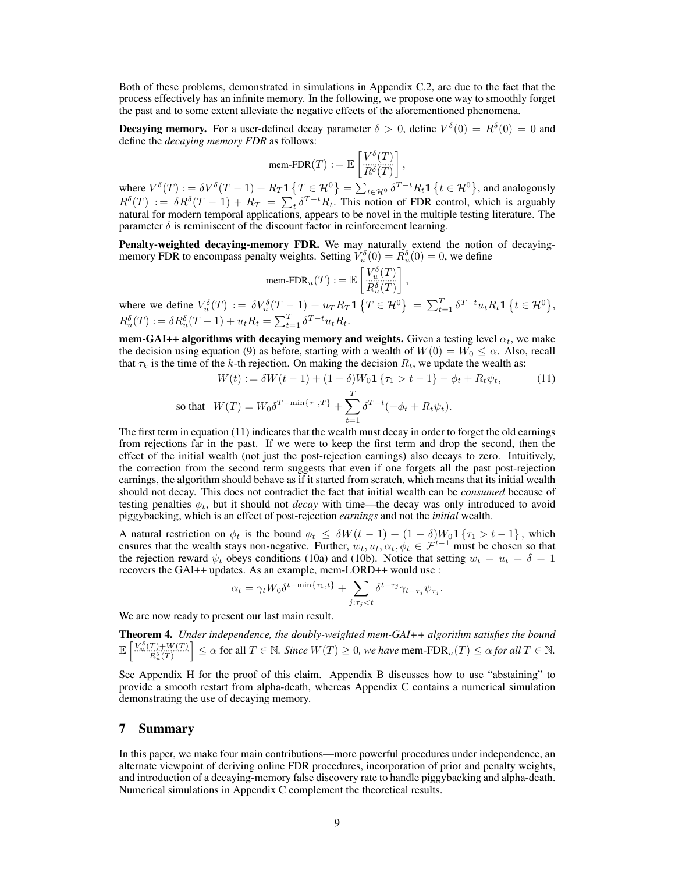Both of these problems, demonstrated in simulations in Appendix C.2, are due to the fact that the process effectively has an infinite memory. In the following, we propose one way to smoothly forget the past and to some extent alleviate the negative effects of the aforementioned phenomena.

**Decaying memory.** For a user-defined decay parameter  $\delta > 0$ , define  $V^{\delta}(0) = R^{\delta}(0) = 0$  and define the *decaying memory FDR* as follows:

$$
\text{mem-FDR}(T) := \mathbb{E}\left[\frac{V^{\delta}(T)}{R^{\delta}(T)}\right],
$$

where  $V^{\delta}(T) := \delta V^{\delta}(T-1) + R_T \mathbf{1} \{ T \in \mathcal{H}^0 \} = \sum_{t \in \mathcal{H}^0} \delta^{T-t} R_t \mathbf{1} \{ t \in \mathcal{H}^0 \}$ , and analogously  $R^{\delta}(T) := \delta R^{\delta}(T-1) + R_T = \sum_t \delta^{T-t} R_t$ . This notion of FDR control, which is arguably natural for modern temporal applications, appears to be novel in the multiple testing literature. The parameter  $\delta$  is reminiscent of the discount factor in reinforcement learning.

Penalty-weighted decaying-memory FDR. We may naturally extend the notion of decayingmemory FDR to encompass penalty weights. Setting  $V_u^{\delta}(0) = R_u^{\delta}(0) = 0$ , we define

$$
\text{mem-FDR}_u(T) := \mathbb{E}\left[\begin{matrix} V_u^\delta(T) \\ R_u^u(T) \\ R_u^\delta(T) \end{matrix}\right],
$$

where we define  $V_u^{\delta}(T) := \delta V_u^{\delta}(T-1) + u_T R_T \mathbf{1} \{ T \in \mathcal{H}^0 \} = \sum_{t=1}^T \delta^{T-t} u_t R_t \mathbf{1} \{ t \in \mathcal{H}^0 \},$  $R_u^{\delta}(T) := \delta R_u^{\delta}(T-1) + u_t R_t = \sum_{t=1}^T \delta^{T-t} u_t R_t.$ 

**mem-GAI++ algorithms with decaying memory and weights.** Given a testing level  $\alpha_t$ , we make the decision using equation (9) as before, starting with a wealth of  $W(0) = W_0 \leq \alpha$ . Also, recall that  $\tau_k$  is the time of the *k*-th rejection. On making the decision  $R_t$ , we update the wealth as:

$$
W(t) := \delta W(t-1) + (1-\delta)W_0 \mathbf{1} \{\tau_1 > t-1\} - \phi_t + R_t \psi_t,
$$
(11)  
so that 
$$
W(T) = W_0 \delta^{T-\min\{\tau_1, T\}} + \sum_{t=1}^T \delta^{T-t} (-\phi_t + R_t \psi_t).
$$

The first term in equation (11) indicates that the wealth must decay in order to forget the old earnings from rejections far in the past. If we were to keep the first term and drop the second, then the effect of the initial wealth (not just the post-rejection earnings) also decays to zero. Intuitively, the correction from the second term suggests that even if one forgets all the past post-rejection earnings, the algorithm should behave as if it started from scratch, which means that its initial wealth should not decay. This does not contradict the fact that initial wealth can be *consumed* because of testing penalties  $\phi_t$ , but it should not *decay* with time—the decay was only introduced to avoid piggybacking, which is an effect of post-rejection *earnings* and not the *initial* wealth.

A natural restriction on  $\phi_t$  is the bound  $\phi_t \leq \delta W(t-1) + (1-\delta)W_0 \mathbf{1} \{\tau_1 > t-1\}$ , which ensures that the wealth stays non-negative. Further,  $w_t, u_t, \alpha_t, \phi_t \in \mathcal{F}^{t-1}$  must be chosen so that the rejection reward  $\psi_t$  obeys conditions (10a) and (10b). Notice that setting  $w_t = u_t = \delta = 1$ recovers the GAI++ updates. As an example, mem-LORD++ would use :

$$
\alpha_t = \gamma_t W_0 \delta^{t - \min\{\tau_1, t\}} + \sum_{j: \tau_j < t} \delta^{t - \tau_j} \gamma_{t - \tau_j} \psi_{\tau_j}.
$$

We are now ready to present our last main result.

Theorem 4. *Under independence, the doubly-weighted mem-GAI++ algorithm satisfies the bound*  $\mathbb{E}\left[\frac{V_{\infty}^{\delta}(T)+W(T)}{R_u^{\delta}(T)}\right] \leq \alpha \text{ for all } T \in \mathbb{N}.$  Since  $W(T) \geq 0$ , we have mem-FDR<sub>u</sub> $(T) \leq \alpha$  for all  $T \in \mathbb{N}.$ 

See Appendix H for the proof of this claim. Appendix B discusses how to use "abstaining" to provide a smooth restart from alpha-death, whereas Appendix C contains a numerical simulation demonstrating the use of decaying memory.

## 7 Summary

In this paper, we make four main contributions—more powerful procedures under independence, an alternate viewpoint of deriving online FDR procedures, incorporation of prior and penalty weights, and introduction of a decaying-memory false discovery rate to handle piggybacking and alpha-death. Numerical simulations in Appendix C complement the theoretical results.